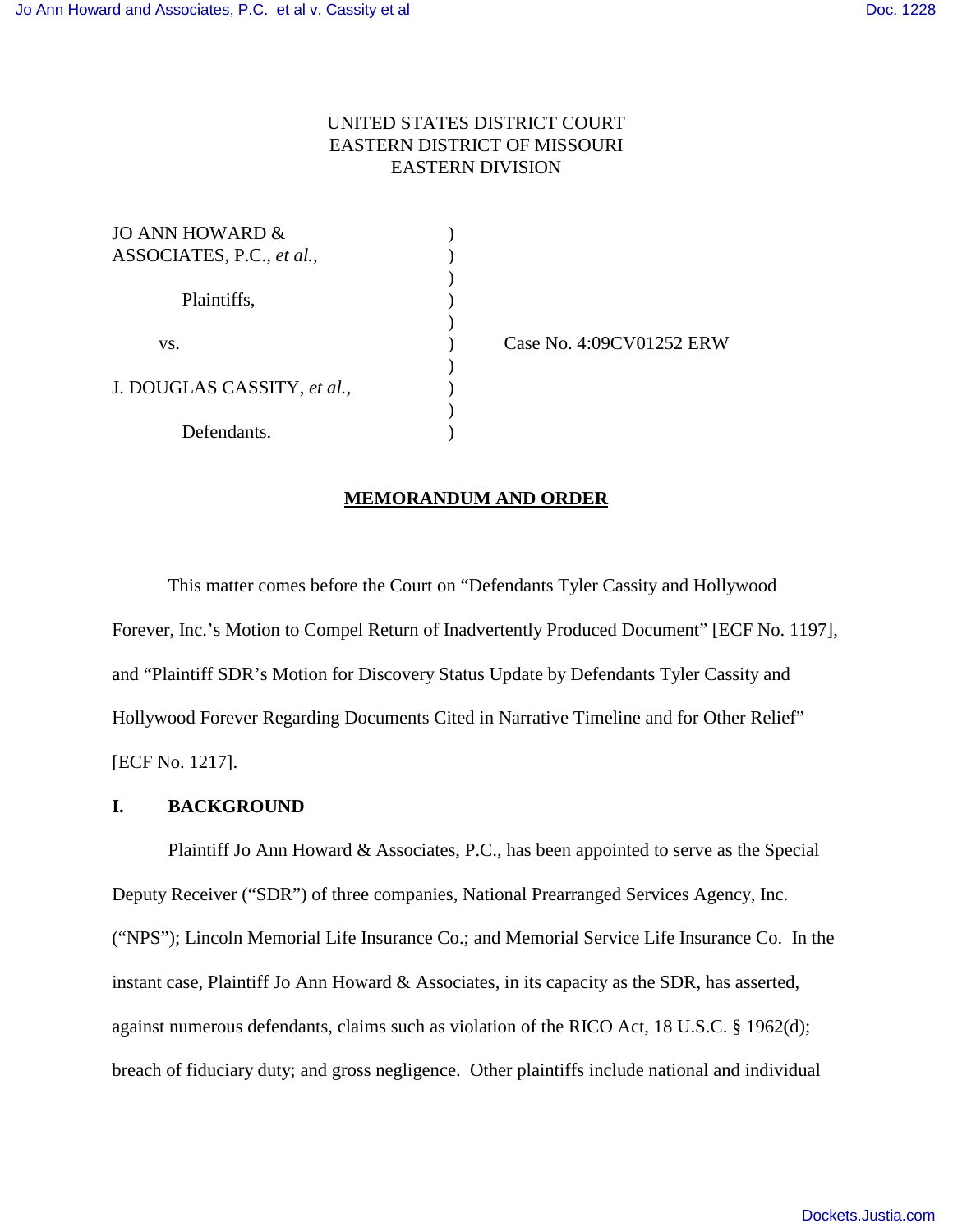# UNITED STATES DISTRICT COURT EASTERN DISTRICT OF MISSOURI EASTERN DIVISION

)

)

 $\mathcal{L}$ 

)

| JO ANN HOWARD &                                 |  |
|-------------------------------------------------|--|
| ASSOCIATES, P.C., et al.,<br>Plaintiffs,<br>VS. |  |
|                                                 |  |
|                                                 |  |
|                                                 |  |
|                                                 |  |
|                                                 |  |
| J. DOUGLAS CASSITY, et al.,                     |  |
|                                                 |  |
| Defendants.                                     |  |

) Case No. 4:09CV01252 ERW

#### **MEMORANDUM AND ORDER**

This matter comes before the Court on "Defendants Tyler Cassity and Hollywood Forever, Inc.'s Motion to Compel Return of Inadvertently Produced Document" [ECF No. 1197], and "Plaintiff SDR's Motion for Discovery Status Update by Defendants Tyler Cassity and Hollywood Forever Regarding Documents Cited in Narrative Timeline and for Other Relief" [ECF No. 1217].

### **I. BACKGROUND**

Plaintiff Jo Ann Howard & Associates, P.C., has been appointed to serve as the Special Deputy Receiver ("SDR") of three companies, National Prearranged Services Agency, Inc. ("NPS"); Lincoln Memorial Life Insurance Co.; and Memorial Service Life Insurance Co. In the instant case, Plaintiff Jo Ann Howard & Associates, in its capacity as the SDR, has asserted, against numerous defendants, claims such as violation of the RICO Act, 18 U.S.C. § 1962(d); breach of fiduciary duty; and gross negligence. Other plaintiffs include national and individual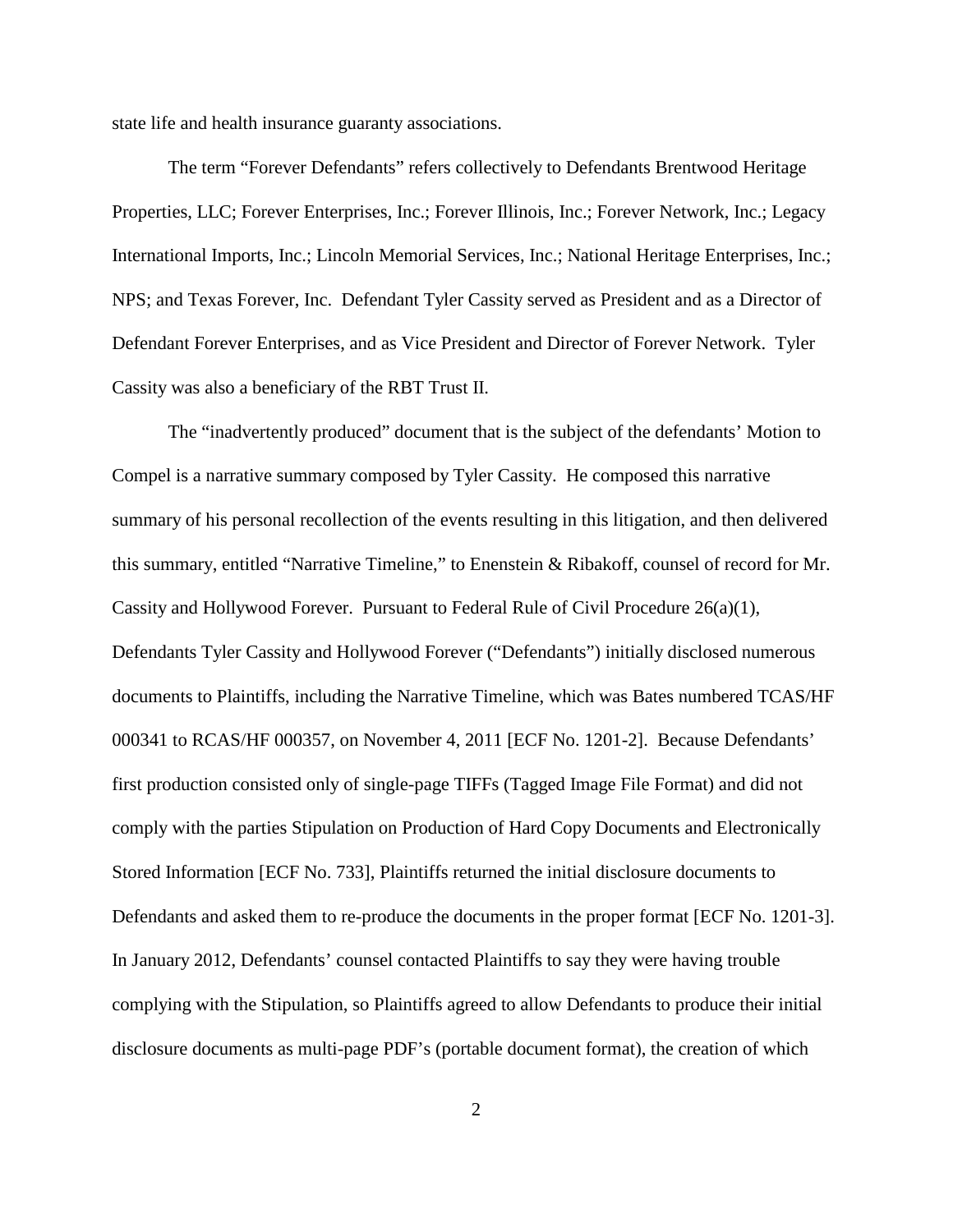state life and health insurance guaranty associations.

The term "Forever Defendants" refers collectively to Defendants Brentwood Heritage Properties, LLC; Forever Enterprises, Inc.; Forever Illinois, Inc.; Forever Network, Inc.; Legacy International Imports, Inc.; Lincoln Memorial Services, Inc.; National Heritage Enterprises, Inc.; NPS; and Texas Forever, Inc. Defendant Tyler Cassity served as President and as a Director of Defendant Forever Enterprises, and as Vice President and Director of Forever Network. Tyler Cassity was also a beneficiary of the RBT Trust II.

The "inadvertently produced" document that is the subject of the defendants' Motion to Compel is a narrative summary composed by Tyler Cassity. He composed this narrative summary of his personal recollection of the events resulting in this litigation, and then delivered this summary, entitled "Narrative Timeline," to Enenstein & Ribakoff, counsel of record for Mr. Cassity and Hollywood Forever. Pursuant to Federal Rule of Civil Procedure 26(a)(1), Defendants Tyler Cassity and Hollywood Forever ("Defendants") initially disclosed numerous documents to Plaintiffs, including the Narrative Timeline, which was Bates numbered TCAS/HF 000341 to RCAS/HF 000357, on November 4, 2011 [ECF No. 1201-2]. Because Defendants' first production consisted only of single-page TIFFs (Tagged Image File Format) and did not comply with the parties Stipulation on Production of Hard Copy Documents and Electronically Stored Information [ECF No. 733], Plaintiffs returned the initial disclosure documents to Defendants and asked them to re-produce the documents in the proper format [ECF No. 1201-3]. In January 2012, Defendants' counsel contacted Plaintiffs to say they were having trouble complying with the Stipulation, so Plaintiffs agreed to allow Defendants to produce their initial disclosure documents as multi-page PDF's (portable document format), the creation of which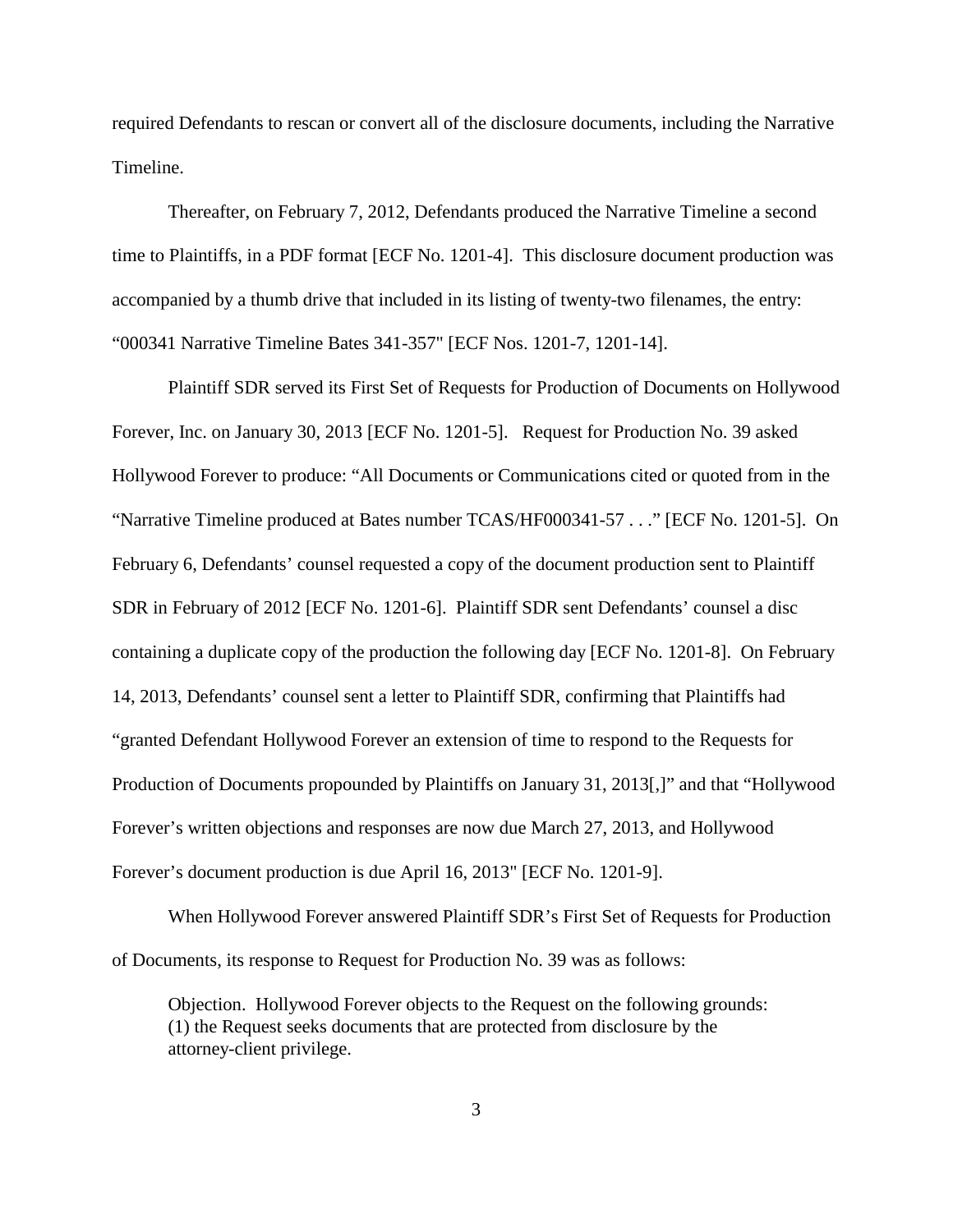required Defendants to rescan or convert all of the disclosure documents, including the Narrative Timeline.

Thereafter, on February 7, 2012, Defendants produced the Narrative Timeline a second time to Plaintiffs, in a PDF format [ECF No. 1201-4]. This disclosure document production was accompanied by a thumb drive that included in its listing of twenty-two filenames, the entry: "000341 Narrative Timeline Bates 341-357" [ECF Nos. 1201-7, 1201-14].

Plaintiff SDR served its First Set of Requests for Production of Documents on Hollywood Forever, Inc. on January 30, 2013 [ECF No. 1201-5]. Request for Production No. 39 asked Hollywood Forever to produce: "All Documents or Communications cited or quoted from in the "Narrative Timeline produced at Bates number TCAS/HF000341-57 . . ." [ECF No. 1201-5]. On February 6, Defendants' counsel requested a copy of the document production sent to Plaintiff SDR in February of 2012 [ECF No. 1201-6]. Plaintiff SDR sent Defendants' counsel a disc containing a duplicate copy of the production the following day [ECF No. 1201-8]. On February 14, 2013, Defendants' counsel sent a letter to Plaintiff SDR, confirming that Plaintiffs had "granted Defendant Hollywood Forever an extension of time to respond to the Requests for Production of Documents propounded by Plaintiffs on January 31, 2013[,]" and that "Hollywood Forever's written objections and responses are now due March 27, 2013, and Hollywood Forever's document production is due April 16, 2013" [ECF No. 1201-9].

When Hollywood Forever answered Plaintiff SDR's First Set of Requests for Production of Documents, its response to Request for Production No. 39 was as follows:

Objection. Hollywood Forever objects to the Request on the following grounds: (1) the Request seeks documents that are protected from disclosure by the attorney-client privilege.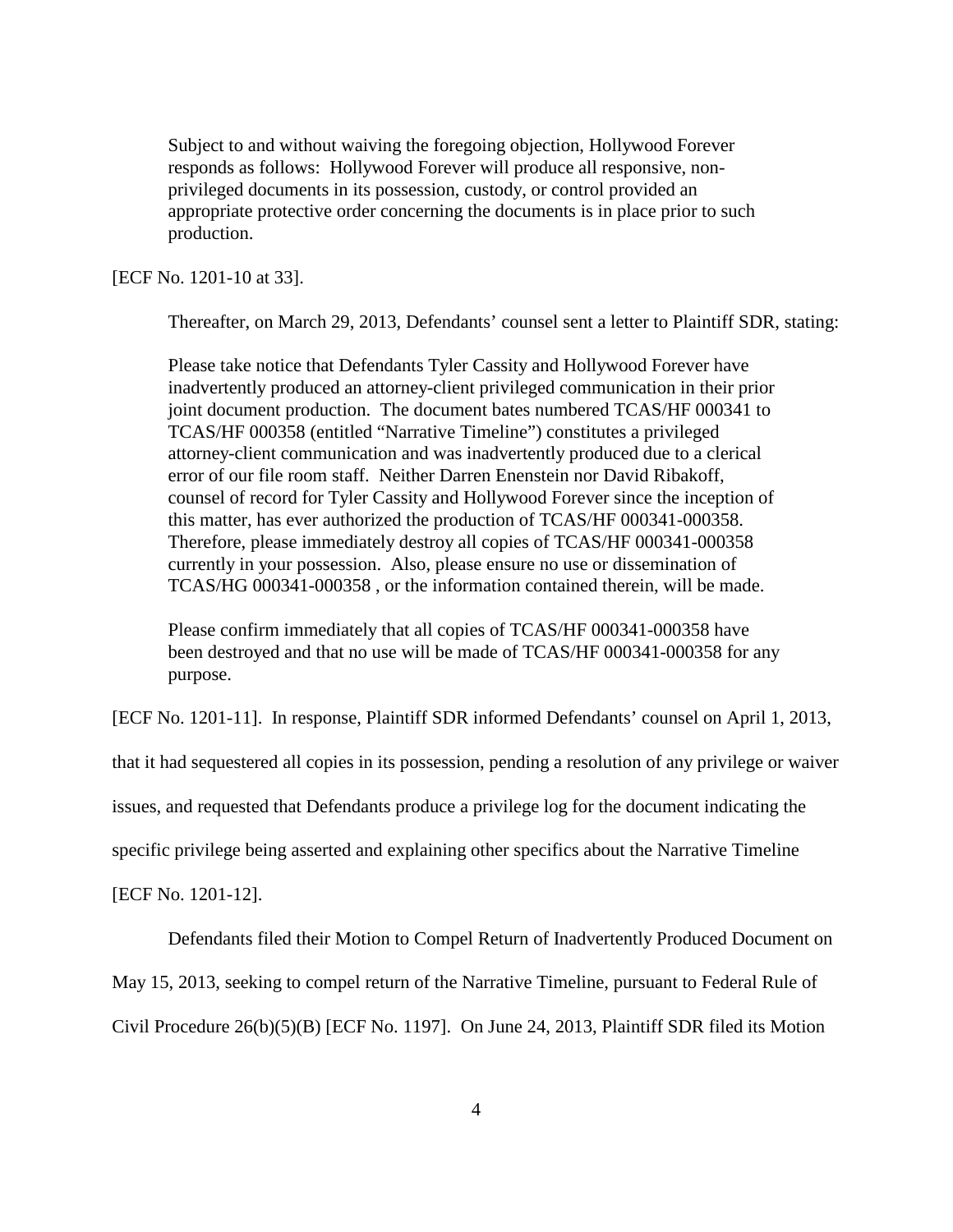Subject to and without waiving the foregoing objection, Hollywood Forever responds as follows: Hollywood Forever will produce all responsive, nonprivileged documents in its possession, custody, or control provided an appropriate protective order concerning the documents is in place prior to such production.

[ECF No. 1201-10 at 33].

Thereafter, on March 29, 2013, Defendants' counsel sent a letter to Plaintiff SDR, stating:

Please take notice that Defendants Tyler Cassity and Hollywood Forever have inadvertently produced an attorney-client privileged communication in their prior joint document production. The document bates numbered TCAS/HF 000341 to TCAS/HF 000358 (entitled "Narrative Timeline") constitutes a privileged attorney-client communication and was inadvertently produced due to a clerical error of our file room staff. Neither Darren Enenstein nor David Ribakoff, counsel of record for Tyler Cassity and Hollywood Forever since the inception of this matter, has ever authorized the production of TCAS/HF 000341-000358. Therefore, please immediately destroy all copies of TCAS/HF 000341-000358 currently in your possession. Also, please ensure no use or dissemination of TCAS/HG 000341-000358 , or the information contained therein, will be made.

Please confirm immediately that all copies of TCAS/HF 000341-000358 have been destroyed and that no use will be made of TCAS/HF 000341-000358 for any purpose.

[ECF No. 1201-11]. In response, Plaintiff SDR informed Defendants' counsel on April 1, 2013,

that it had sequestered all copies in its possession, pending a resolution of any privilege or waiver

issues, and requested that Defendants produce a privilege log for the document indicating the

specific privilege being asserted and explaining other specifics about the Narrative Timeline

[ECF No. 1201-12].

Defendants filed their Motion to Compel Return of Inadvertently Produced Document on

May 15, 2013, seeking to compel return of the Narrative Timeline, pursuant to Federal Rule of

Civil Procedure 26(b)(5)(B) [ECF No. 1197]. On June 24, 2013, Plaintiff SDR filed its Motion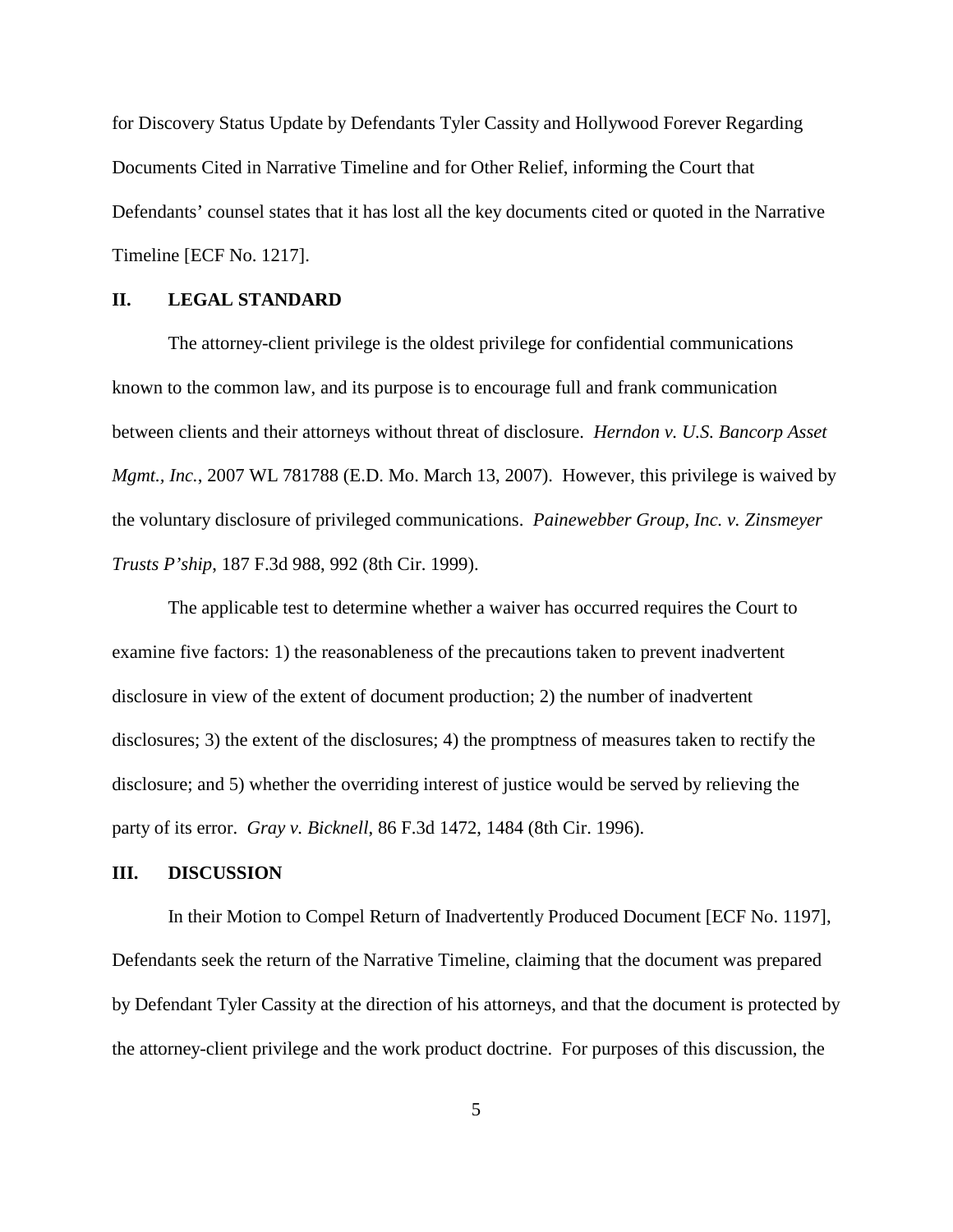for Discovery Status Update by Defendants Tyler Cassity and Hollywood Forever Regarding Documents Cited in Narrative Timeline and for Other Relief, informing the Court that Defendants' counsel states that it has lost all the key documents cited or quoted in the Narrative Timeline [ECF No. 1217].

#### **II. LEGAL STANDARD**

The attorney-client privilege is the oldest privilege for confidential communications known to the common law, and its purpose is to encourage full and frank communication between clients and their attorneys without threat of disclosure. *Herndon v. U.S. Bancorp Asset Mgmt., Inc.*, 2007 WL 781788 (E.D. Mo. March 13, 2007). However, this privilege is waived by the voluntary disclosure of privileged communications. *Painewebber Group, Inc. v. Zinsmeyer Trusts P'ship*, 187 F.3d 988, 992 (8th Cir. 1999).

The applicable test to determine whether a waiver has occurred requires the Court to examine five factors: 1) the reasonableness of the precautions taken to prevent inadvertent disclosure in view of the extent of document production; 2) the number of inadvertent disclosures; 3) the extent of the disclosures; 4) the promptness of measures taken to rectify the disclosure; and 5) whether the overriding interest of justice would be served by relieving the party of its error. *Gray v. Bicknell*, 86 F.3d 1472, 1484 (8th Cir. 1996).

## **III. DISCUSSION**

In their Motion to Compel Return of Inadvertently Produced Document [ECF No. 1197], Defendants seek the return of the Narrative Timeline, claiming that the document was prepared by Defendant Tyler Cassity at the direction of his attorneys, and that the document is protected by the attorney-client privilege and the work product doctrine. For purposes of this discussion, the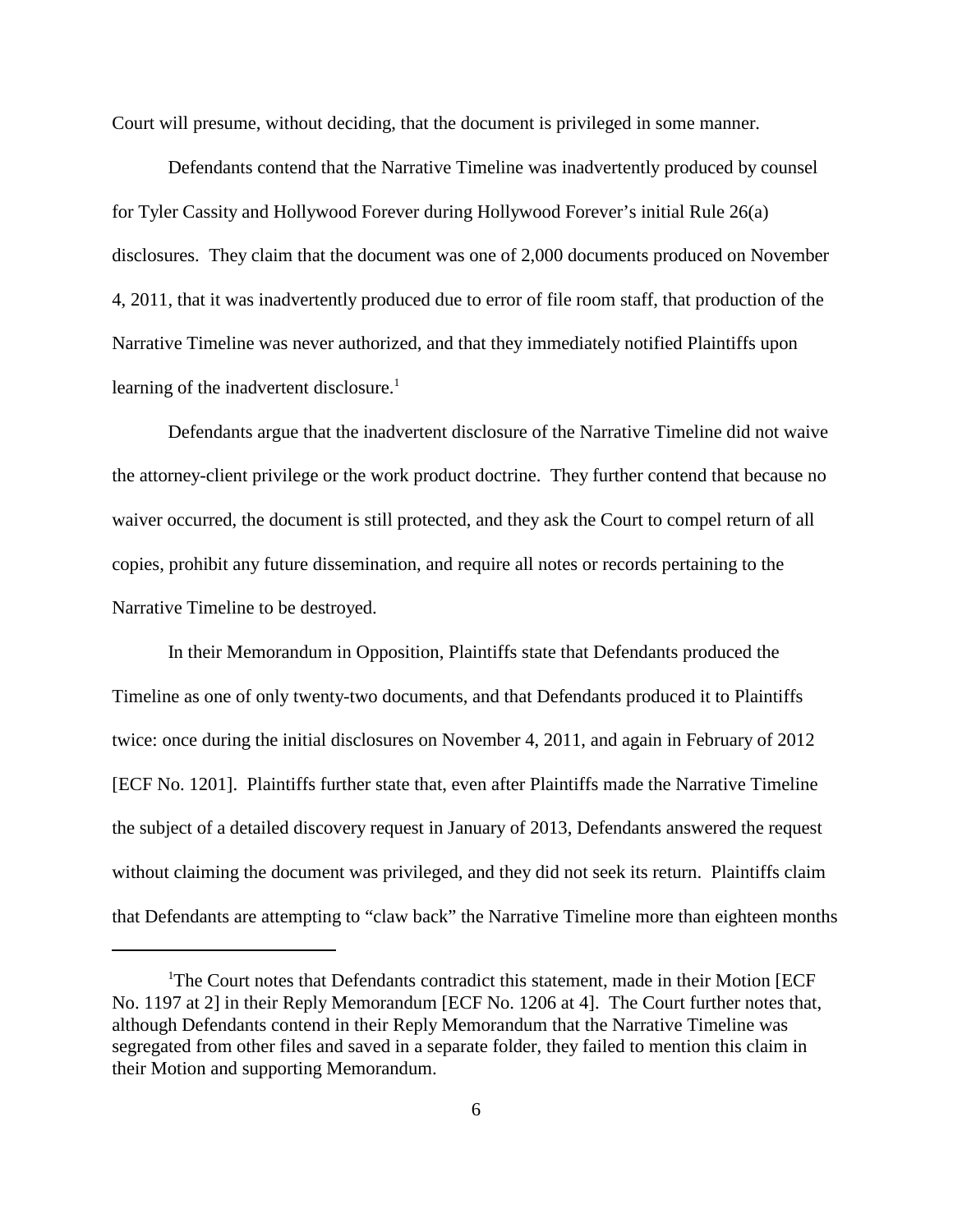Court will presume, without deciding, that the document is privileged in some manner.

Defendants contend that the Narrative Timeline was inadvertently produced by counsel for Tyler Cassity and Hollywood Forever during Hollywood Forever's initial Rule 26(a) disclosures. They claim that the document was one of 2,000 documents produced on November 4, 2011, that it was inadvertently produced due to error of file room staff, that production of the Narrative Timeline was never authorized, and that they immediately notified Plaintiffs upon learning of the inadvertent disclosure.<sup>1</sup>

Defendants argue that the inadvertent disclosure of the Narrative Timeline did not waive the attorney-client privilege or the work product doctrine. They further contend that because no waiver occurred, the document is still protected, and they ask the Court to compel return of all copies, prohibit any future dissemination, and require all notes or records pertaining to the Narrative Timeline to be destroyed.

In their Memorandum in Opposition, Plaintiffs state that Defendants produced the Timeline as one of only twenty-two documents, and that Defendants produced it to Plaintiffs twice: once during the initial disclosures on November 4, 2011, and again in February of 2012 [ECF No. 1201]. Plaintiffs further state that, even after Plaintiffs made the Narrative Timeline the subject of a detailed discovery request in January of 2013, Defendants answered the request without claiming the document was privileged, and they did not seek its return. Plaintiffs claim that Defendants are attempting to "claw back" the Narrative Timeline more than eighteen months

<sup>&</sup>lt;sup>1</sup>The Court notes that Defendants contradict this statement, made in their Motion [ECF No. 1197 at 2] in their Reply Memorandum [ECF No. 1206 at 4]. The Court further notes that, although Defendants contend in their Reply Memorandum that the Narrative Timeline was segregated from other files and saved in a separate folder, they failed to mention this claim in their Motion and supporting Memorandum.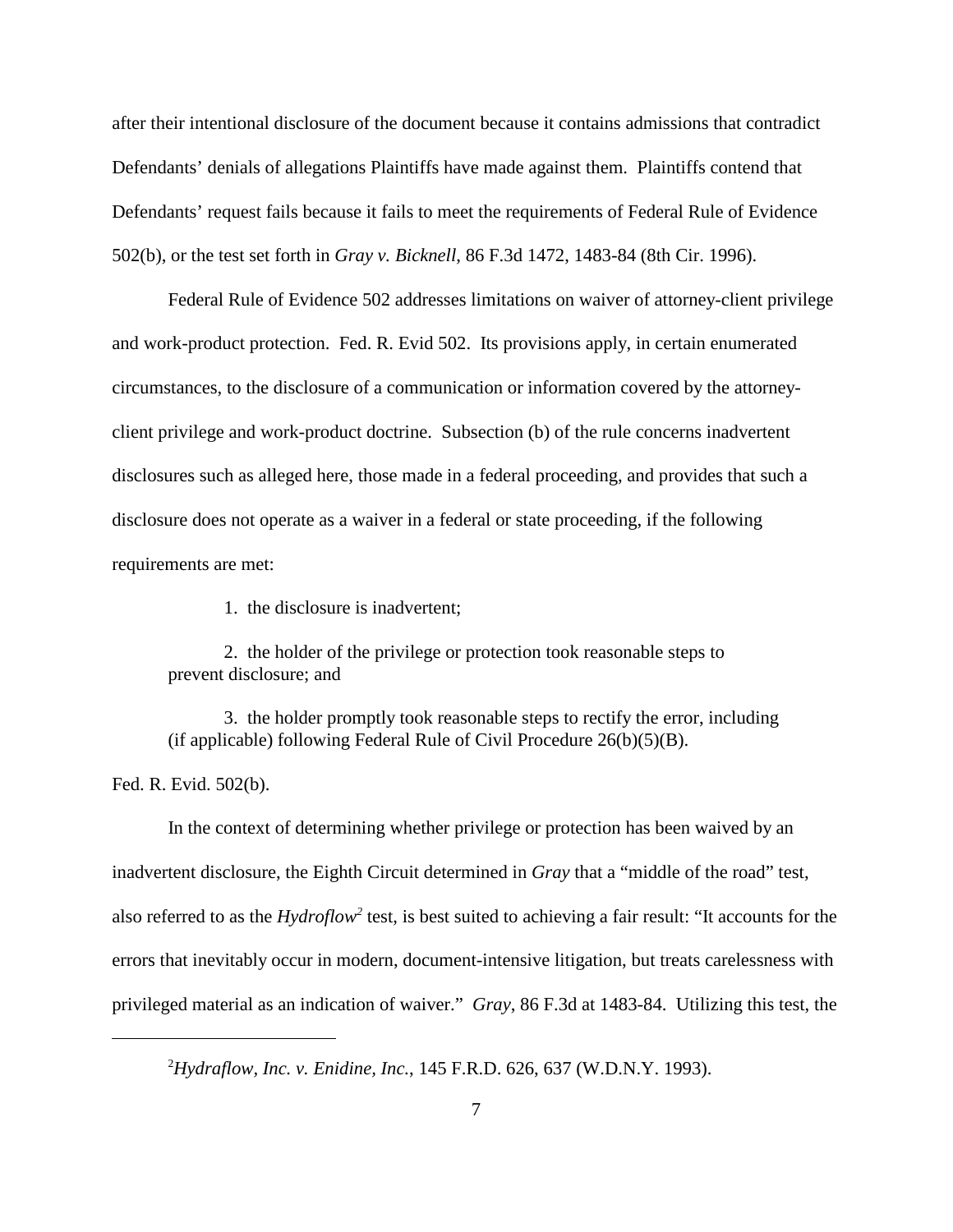after their intentional disclosure of the document because it contains admissions that contradict Defendants' denials of allegations Plaintiffs have made against them. Plaintiffs contend that Defendants' request fails because it fails to meet the requirements of Federal Rule of Evidence 502(b), or the test set forth in *Gray v. Bicknell*, 86 F.3d 1472, 1483-84 (8th Cir. 1996).

Federal Rule of Evidence 502 addresses limitations on waiver of attorney-client privilege and work-product protection. Fed. R. Evid 502. Its provisions apply, in certain enumerated circumstances, to the disclosure of a communication or information covered by the attorneyclient privilege and work-product doctrine. Subsection (b) of the rule concerns inadvertent disclosures such as alleged here, those made in a federal proceeding, and provides that such a disclosure does not operate as a waiver in a federal or state proceeding, if the following requirements are met:

1. the disclosure is inadvertent;

2. the holder of the privilege or protection took reasonable steps to prevent disclosure; and

3. the holder promptly took reasonable steps to rectify the error, including (if applicable) following Federal Rule of Civil Procedure  $26(b)(5)(B)$ .

Fed. R. Evid. 502(b).

In the context of determining whether privilege or protection has been waived by an inadvertent disclosure, the Eighth Circuit determined in *Gray* that a "middle of the road" test, also referred to as the *Hydroflow<sup>2</sup>* test, is best suited to achieving a fair result: "It accounts for the errors that inevitably occur in modern, document-intensive litigation, but treats carelessness with privileged material as an indication of waiver." *Gray*, 86 F.3d at 1483-84. Utilizing this test, the

<sup>2</sup>*Hydraflow, Inc. v. Enidine, Inc.*, 145 F.R.D. 626, 637 (W.D.N.Y. 1993).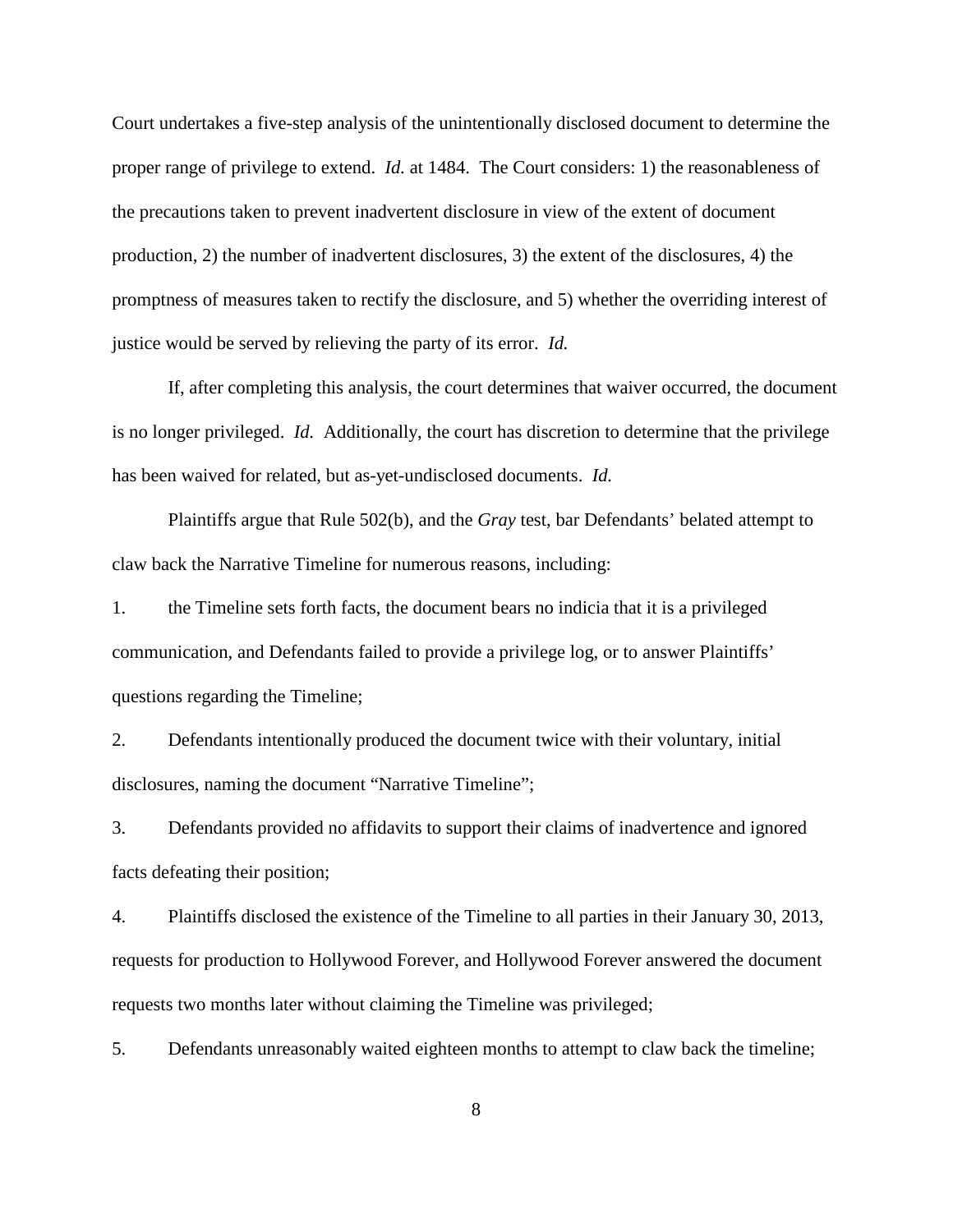Court undertakes a five-step analysis of the unintentionally disclosed document to determine the proper range of privilege to extend. *Id.* at 1484. The Court considers: 1) the reasonableness of the precautions taken to prevent inadvertent disclosure in view of the extent of document production, 2) the number of inadvertent disclosures, 3) the extent of the disclosures, 4) the promptness of measures taken to rectify the disclosure, and 5) whether the overriding interest of justice would be served by relieving the party of its error. *Id.*

If, after completing this analysis, the court determines that waiver occurred, the document is no longer privileged. *Id.* Additionally, the court has discretion to determine that the privilege has been waived for related, but as-yet-undisclosed documents. *Id.*

Plaintiffs argue that Rule 502(b), and the *Gray* test, bar Defendants' belated attempt to claw back the Narrative Timeline for numerous reasons, including:

1. the Timeline sets forth facts, the document bears no indicia that it is a privileged communication, and Defendants failed to provide a privilege log, or to answer Plaintiffs' questions regarding the Timeline;

2. Defendants intentionally produced the document twice with their voluntary, initial disclosures, naming the document "Narrative Timeline";

3. Defendants provided no affidavits to support their claims of inadvertence and ignored facts defeating their position;

4. Plaintiffs disclosed the existence of the Timeline to all parties in their January 30, 2013, requests for production to Hollywood Forever, and Hollywood Forever answered the document requests two months later without claiming the Timeline was privileged;

5. Defendants unreasonably waited eighteen months to attempt to claw back the timeline;

8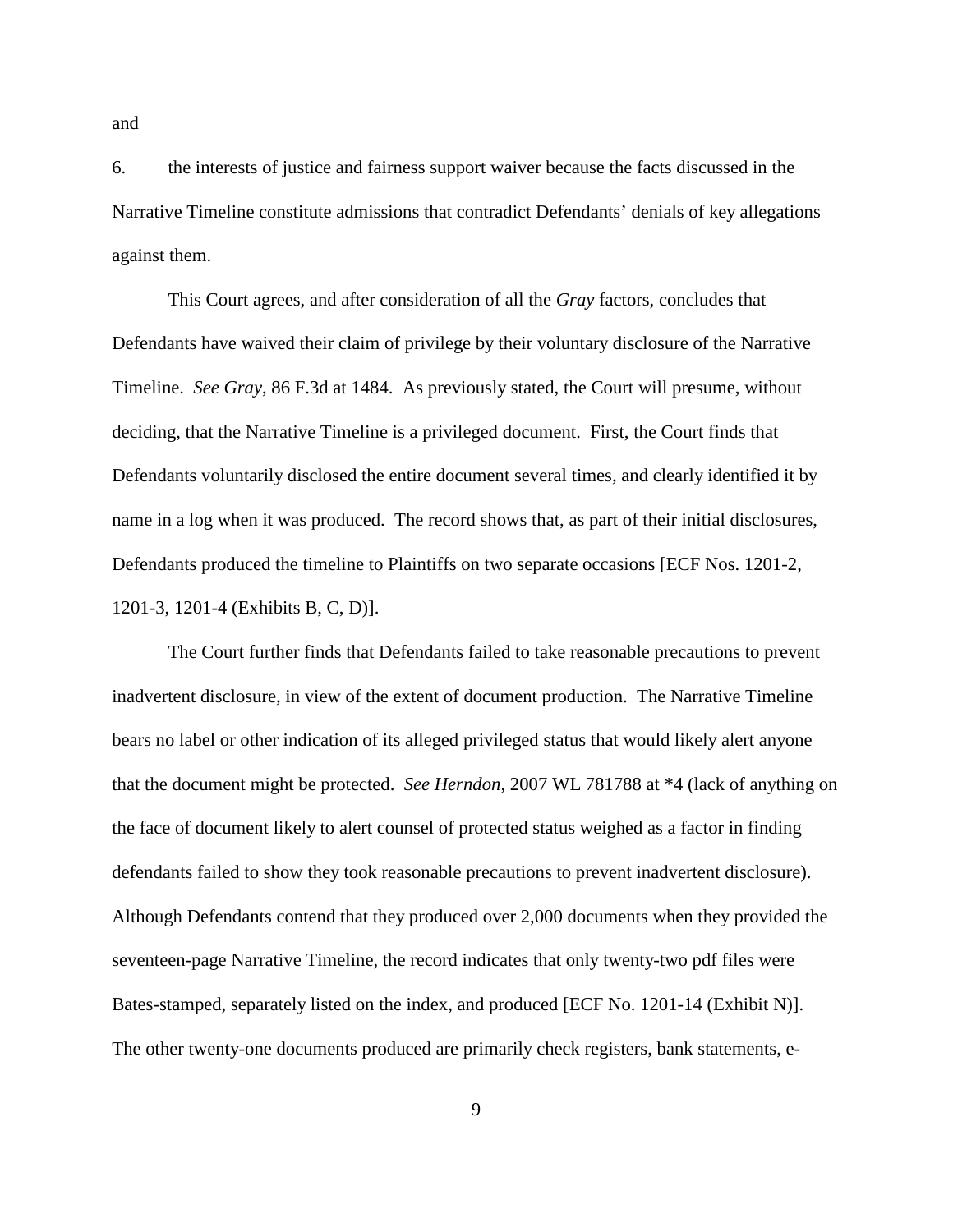6. the interests of justice and fairness support waiver because the facts discussed in the Narrative Timeline constitute admissions that contradict Defendants' denials of key allegations against them.

This Court agrees, and after consideration of all the *Gray* factors, concludes that Defendants have waived their claim of privilege by their voluntary disclosure of the Narrative Timeline. *See Gray*, 86 F.3d at 1484. As previously stated, the Court will presume, without deciding, that the Narrative Timeline is a privileged document. First, the Court finds that Defendants voluntarily disclosed the entire document several times, and clearly identified it by name in a log when it was produced. The record shows that, as part of their initial disclosures, Defendants produced the timeline to Plaintiffs on two separate occasions [ECF Nos. 1201-2, 1201-3, 1201-4 (Exhibits B, C, D)].

The Court further finds that Defendants failed to take reasonable precautions to prevent inadvertent disclosure, in view of the extent of document production. The Narrative Timeline bears no label or other indication of its alleged privileged status that would likely alert anyone that the document might be protected. *See Herndon*, 2007 WL 781788 at \*4 (lack of anything on the face of document likely to alert counsel of protected status weighed as a factor in finding defendants failed to show they took reasonable precautions to prevent inadvertent disclosure). Although Defendants contend that they produced over 2,000 documents when they provided the seventeen-page Narrative Timeline, the record indicates that only twenty-two pdf files were Bates-stamped, separately listed on the index, and produced [ECF No. 1201-14 (Exhibit N)]. The other twenty-one documents produced are primarily check registers, bank statements, e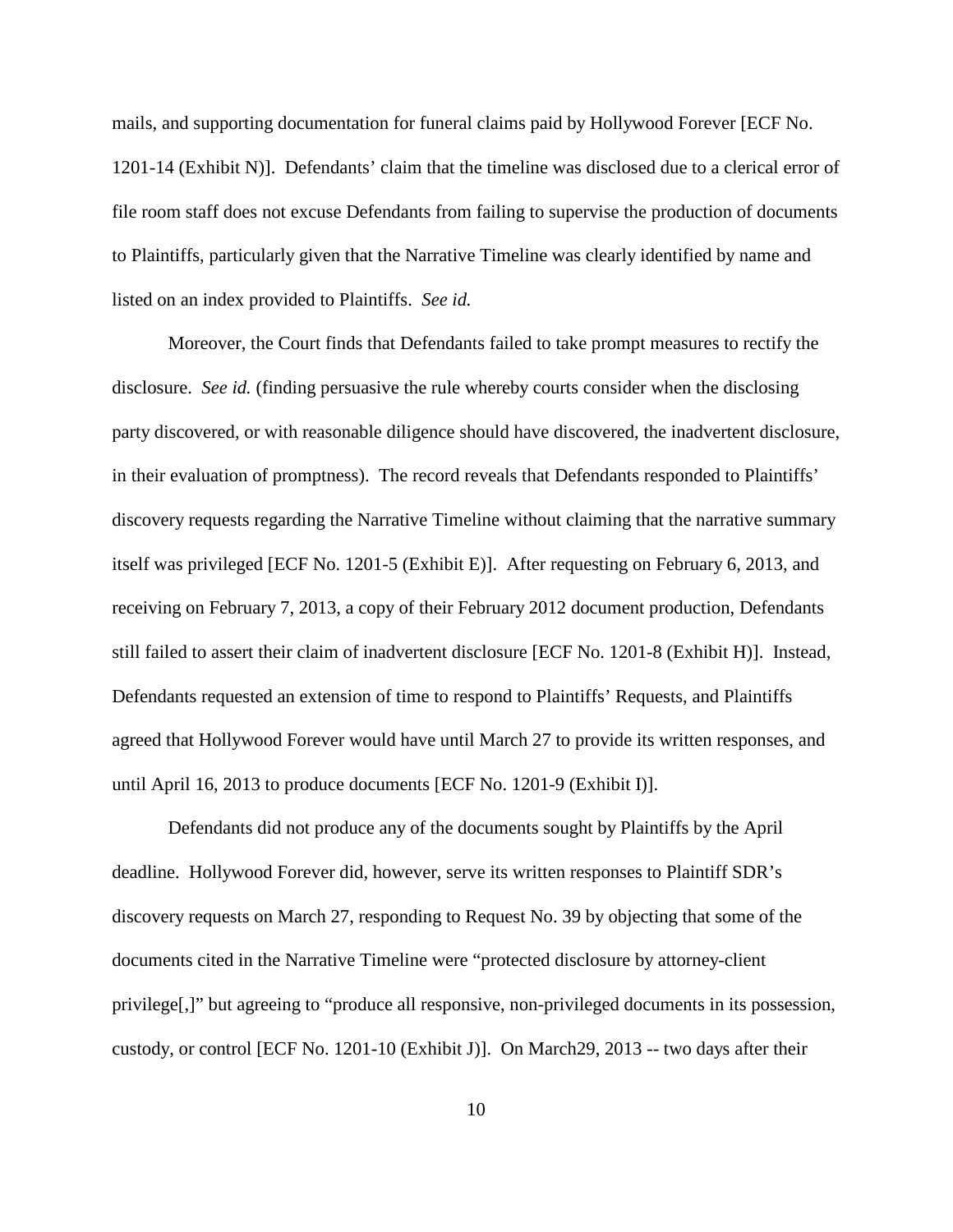mails, and supporting documentation for funeral claims paid by Hollywood Forever [ECF No. 1201-14 (Exhibit N)]. Defendants' claim that the timeline was disclosed due to a clerical error of file room staff does not excuse Defendants from failing to supervise the production of documents to Plaintiffs, particularly given that the Narrative Timeline was clearly identified by name and listed on an index provided to Plaintiffs. *See id.*

Moreover, the Court finds that Defendants failed to take prompt measures to rectify the disclosure. *See id.* (finding persuasive the rule whereby courts consider when the disclosing party discovered, or with reasonable diligence should have discovered, the inadvertent disclosure, in their evaluation of promptness). The record reveals that Defendants responded to Plaintiffs' discovery requests regarding the Narrative Timeline without claiming that the narrative summary itself was privileged [ECF No. 1201-5 (Exhibit E)]. After requesting on February 6, 2013, and receiving on February 7, 2013, a copy of their February 2012 document production, Defendants still failed to assert their claim of inadvertent disclosure [ECF No. 1201-8 (Exhibit H)]. Instead, Defendants requested an extension of time to respond to Plaintiffs' Requests, and Plaintiffs agreed that Hollywood Forever would have until March 27 to provide its written responses, and until April 16, 2013 to produce documents [ECF No. 1201-9 (Exhibit I)].

Defendants did not produce any of the documents sought by Plaintiffs by the April deadline. Hollywood Forever did, however, serve its written responses to Plaintiff SDR's discovery requests on March 27, responding to Request No. 39 by objecting that some of the documents cited in the Narrative Timeline were "protected disclosure by attorney-client privilege[,]" but agreeing to "produce all responsive, non-privileged documents in its possession, custody, or control [ECF No. 1201-10 (Exhibit J)]. On March29, 2013 -- two days after their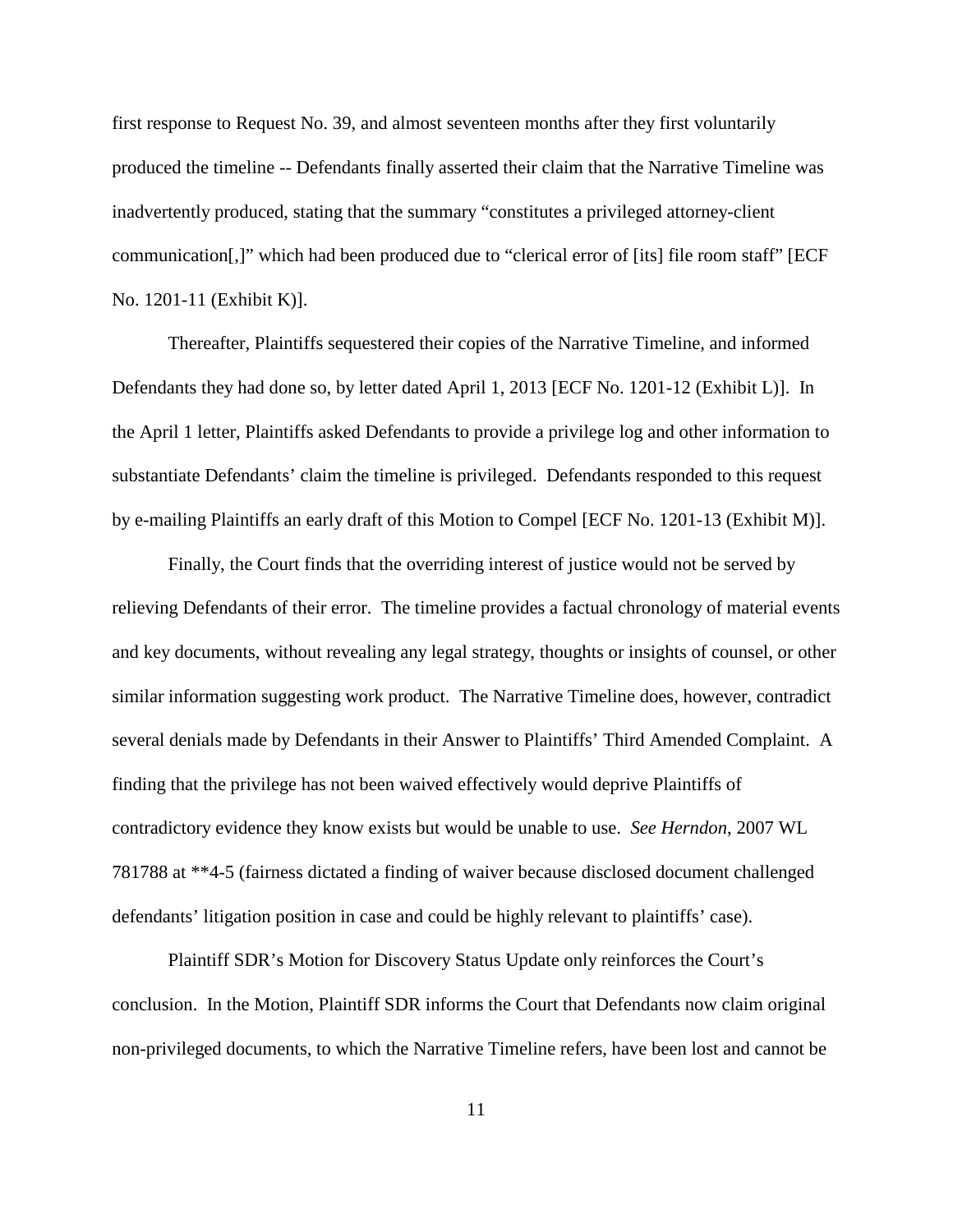first response to Request No. 39, and almost seventeen months after they first voluntarily produced the timeline -- Defendants finally asserted their claim that the Narrative Timeline was inadvertently produced, stating that the summary "constitutes a privileged attorney-client communication[,]" which had been produced due to "clerical error of [its] file room staff" [ECF No. 1201-11 (Exhibit K)].

Thereafter, Plaintiffs sequestered their copies of the Narrative Timeline, and informed Defendants they had done so, by letter dated April 1, 2013 [ECF No. 1201-12 (Exhibit L)]. In the April 1 letter, Plaintiffs asked Defendants to provide a privilege log and other information to substantiate Defendants' claim the timeline is privileged. Defendants responded to this request by e-mailing Plaintiffs an early draft of this Motion to Compel [ECF No. 1201-13 (Exhibit M)].

Finally, the Court finds that the overriding interest of justice would not be served by relieving Defendants of their error. The timeline provides a factual chronology of material events and key documents, without revealing any legal strategy, thoughts or insights of counsel, or other similar information suggesting work product. The Narrative Timeline does, however, contradict several denials made by Defendants in their Answer to Plaintiffs' Third Amended Complaint. A finding that the privilege has not been waived effectively would deprive Plaintiffs of contradictory evidence they know exists but would be unable to use. *See Herndon*, 2007 WL 781788 at \*\*4-5 (fairness dictated a finding of waiver because disclosed document challenged defendants' litigation position in case and could be highly relevant to plaintiffs' case).

Plaintiff SDR's Motion for Discovery Status Update only reinforces the Court's conclusion. In the Motion, Plaintiff SDR informs the Court that Defendants now claim original non-privileged documents, to which the Narrative Timeline refers, have been lost and cannot be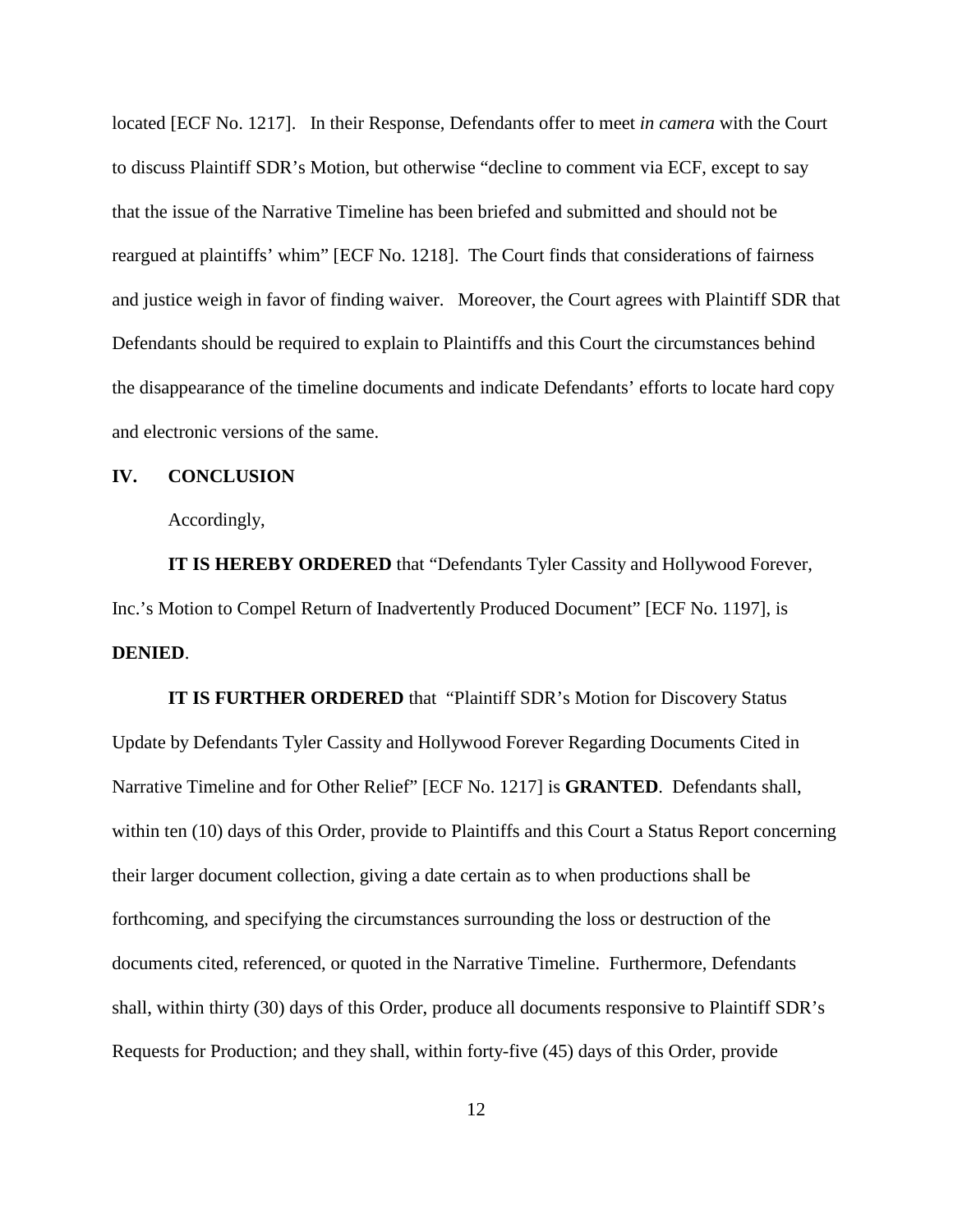located [ECF No. 1217]. In their Response, Defendants offer to meet *in camera* with the Court to discuss Plaintiff SDR's Motion, but otherwise "decline to comment via ECF, except to say that the issue of the Narrative Timeline has been briefed and submitted and should not be reargued at plaintiffs' whim" [ECF No. 1218]. The Court finds that considerations of fairness and justice weigh in favor of finding waiver. Moreover, the Court agrees with Plaintiff SDR that Defendants should be required to explain to Plaintiffs and this Court the circumstances behind the disappearance of the timeline documents and indicate Defendants' efforts to locate hard copy and electronic versions of the same.

### **IV. CONCLUSION**

Accordingly,

**IT IS HEREBY ORDERED** that "Defendants Tyler Cassity and Hollywood Forever, Inc.'s Motion to Compel Return of Inadvertently Produced Document" [ECF No. 1197], is **DENIED**.

**IT IS FURTHER ORDERED** that "Plaintiff SDR's Motion for Discovery Status Update by Defendants Tyler Cassity and Hollywood Forever Regarding Documents Cited in Narrative Timeline and for Other Relief" [ECF No. 1217] is **GRANTED**. Defendants shall, within ten (10) days of this Order, provide to Plaintiffs and this Court a Status Report concerning their larger document collection, giving a date certain as to when productions shall be forthcoming, and specifying the circumstances surrounding the loss or destruction of the documents cited, referenced, or quoted in the Narrative Timeline. Furthermore, Defendants shall, within thirty (30) days of this Order, produce all documents responsive to Plaintiff SDR's Requests for Production; and they shall, within forty-five (45) days of this Order, provide